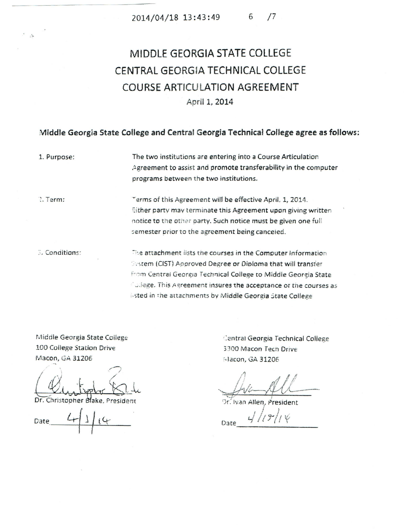## MIDDLE GEORGIA STATE COLLEGE CENTRAL GEORGIA TECHNICAL COLLEGE **COURSE ARTICULATION AGREEMENT** April 1, 2014

## Middle Georgia State College and Central Georgia Technical College agree as follows:

1. Purpose:

The two institutions are entering into a Course Articulation Agreement to assist and promote transferability in the computer programs between the two institutions.

2. Term:

Terms of this Agreement will be effective April, 1, 2014. Sither party may terminate this Agreement upon giving written notice to the other party. Such notice must be given one full semester prior to the agreement being canceled.

**Conditions:** 

The attachment lists the courses in the Computer Information Sistem (CIST) Approved Degree or Diploma that will transfer from Central Georgia Technical College to Middle Georgia State College. This Agreement insures the acceptance or the courses as isted in the attachments by Middle Georgia State College

Middle Georgia State College 100 College Station Drive Macon, GA 31206

Christopher Blake, President

Date

Central Georgia Technical College 3300 Macon Tech Drive Macon, GA 31206

 $4/19/14$ 

Or. Ivan Allen, President